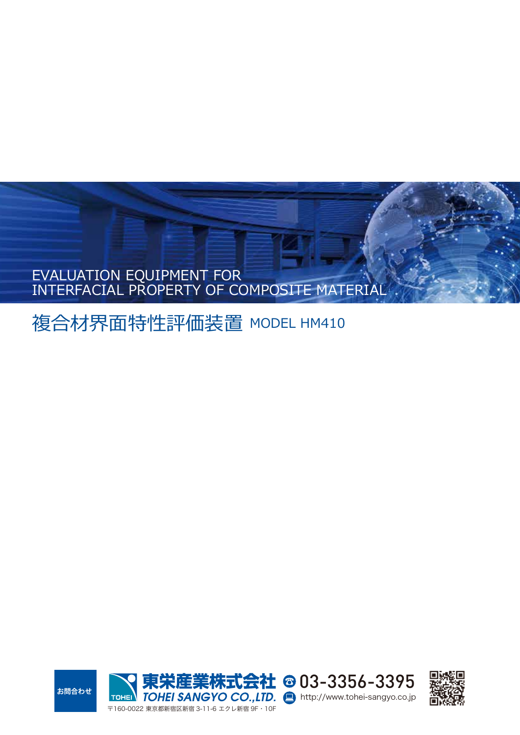# EVALUATION EQUIPMENT FOR INTERFACIAL PROPERTY OF COMPOSITE MATERIAL

複合材界面特性評価装置 MODEL HM410



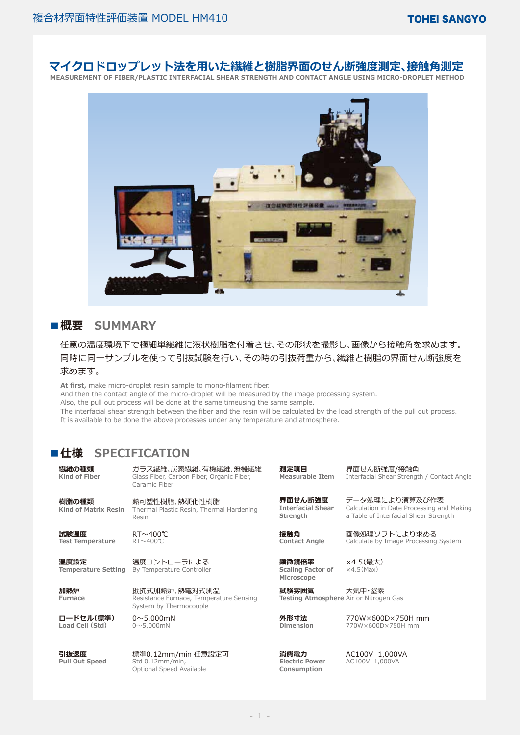# **マイクロドロップレット法を用いた繊維と樹脂界面のせん断強度測定、接触角測定**

**MEASUREMENT OF FIBER/PLASTIC INTERFACIAL SHEAR STRENGTH AND CONTACT ANGLE USING MICRO-DROPLET METHOD** 



## **■概要 SUMMARY**

## 任意の温度環境下で極細単繊維に液状樹脂を付着させ、その形状を撮影し、画像から接触角を求めます。 同時に同一サンプルを使って引抜試験を行い、その時の引抜荷重から、繊維と樹脂の界面せん断強度を 求めます。

**At first,** make micro-droplet resin sample to mono-filament fiber.

And then the contact angle of the micro-droplet will be measured by the image processing system.

Also, the pull out process will be done at the same timeusing the same sample.

The interfacial shear strength between the fiber and the resin will be calculated by the load strength of the pull out process. It is available to be done the above processes under any temperature and atmosphere.

# **■仕様 SPECIFICATION**

**繊維の種類 Kind of Fiber**

**樹脂の種類**

**Kind of Matrix Resin**

**試験温度 Test Temperature**

**温度設定 Temperature Setting**

**加熱炉 Furnace**

**ロードセル(標準) Load Cell (Std)**

**引抜速度 Pull Out Speed** ガラス繊維、炭素繊維、有機繊維、無機繊維 Glass Fiber, Carbon Fiber, Organic Fiber, Caramic Fiber

熱可塑性樹脂、熱硬化性樹脂 Thermal Plastic Resin, Thermal Hardening

Resin

RT~400℃ RT~400℃

温度コントローラによる By Temperature Controller

抵抗式加熱炉、熱電対式測温 Resistance Furnace, Temperature Sensing System by Thermocouple

 $0 \sim 5.000$ mN  $0~5,000$ mN

標準0.12mm/min 任意設定可 Std 0.12mm/min, Optional Speed Available

**測定項目 Measurable Item** 

界面せん断強度/接触角 Interfacial Shear Strength / Contact Angle

**界面せん断強度 Interfacial Shear Strength**

**接触角 Contact Angle**

**顕微鏡倍率 Scaling Factor of Microscope**

×4.5(最大)  $\times$ 4.5(Max)

大気中・窒素 **Testing Atmosphere** Air or Nitrogen Gas **試験雰囲気**

**外形寸法 Dimension**

**消費電力 Electric Power Consumption**

画像処理ソフトにより求める Calculate by Image Processing System

データ処理により演算及び作表 Calculation in Date Processing and Making a Table of Interfacial Shear Strength

770W×600D×750H mm 770W×600D×750H mm

AC100V 1,000VA AC100V 1,000VA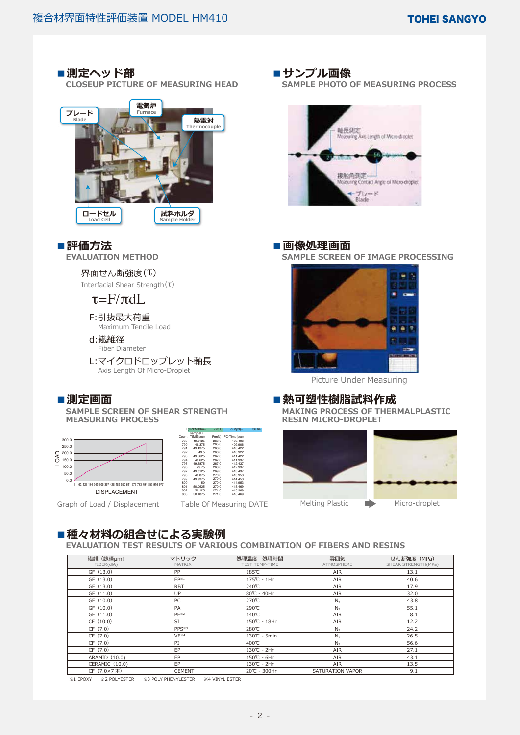# ■ **測定ヘッド部**

 **CLOSEUP PICTURE OF MEASURING HEAD**



# **■評価方法**

 **EVALUATION METHOD**

#### 界面せん断強度(τ)

Interfacial Shear Strength(τ)

# $\tau = F/\pi dL$

F:引抜最大荷重 Maximum Tencile Load

## d:繊維径

Fiber Diameter

L:マイクロドロップレット軸長 Axis Length Of Micro-Droplet

## **■測定画面**

 **SAMPLE SCREEN OF SHEAR STRENGTH MEASURING PROCESS**



Graph of Load / Displacement Table Of Measuring DATE

|       | sampleD   |       |              |
|-------|-----------|-------|--------------|
| Count | TIME(sec) | F(mN) | PC-Time(sec) |
| 789   | 49 3125   | 266.0 | 409 406      |
| 790   | 49 375    | 265.0 | 409 906      |
| 791   | 49 4375   | 266.0 | 410.422      |
| 792   | 49.5      | 266.0 | 410 922      |
| 793   | 49.5625   | 2670  | 411 422      |
| 794   | 49.625    | 2670  | 411.937      |
| 795   | 49 6875   | 2670  | 412 437      |
| 796   | 4975      | 268.0 | 412937       |
| 797   | 49 8125   | 269.0 | 413 437      |
| 798   | 49 875    | 270 Q | 413 953      |
| 799   | 49 9375   | 270 Q | 414 453      |
| 800   | 50        | 270 Q | 414 953      |
| 801   | 50.0625   | 270 Q | 415 469      |
| 802   | 50.125    | 2710  | 415 969      |
| 803   | 50 1875   | 2710  | 416 469      |
|       |           |       |              |

F(mN:M3Xm= 273.C σ(Mp3)= 36.64

#### ■**サンプル画像**

 **SAMPLE PHOTO OF MEASURING PROCESS**



## **■画像処理画面**

 **SAMPLE SCREEN OF IMAGE PROCESSING**



Picture Under Measuring

### **■熱可塑性樹脂試料作成**

 **MAKING PROCESS OF THERMALPLASTIC RESIN MICRO-DROPLET**



# **■種々材料の組合せによる実験例**

 **EVALUATION TEST RESULTS OF VARIOUS COMBINATION OF FIBERS AND RESINS**

| 繊維 (線径µm)<br>FIBER(dIA) | マトリック<br><b>MATRIX</b> | 処理温度 - 処理時間<br>TEST TEMP-TIME | 雰囲気<br><b>ATMOSPHERE</b> | せん断強度 (MPa)<br>SHEAR STRENGTH(MPa) |
|-------------------------|------------------------|-------------------------------|--------------------------|------------------------------------|
| GF (13.0)               | PP                     | 185℃                          | AIR                      | 13.1                               |
| GF (13.0)               | $FP^{\otimes 1}$       | 175℃ - 1Hr                    | AIR                      | 40.6                               |
| GF (13.0)               | <b>RBT</b>             | 240℃                          | AIR                      | 17.9                               |
| GF (11.0)               | UP                     | 80℃ - 40Hr                    | AIR                      | 32.0                               |
| GF (10.0)               | PC                     | 270℃                          | N <sub>2</sub>           | 43.8                               |
| GF (10.0)               | PA                     | 290℃                          | N <sub>2</sub>           | 55.1                               |
| GF (11.0)               | $PE^{32}$              | 140℃                          | AIR                      | 8.1                                |
| CF(10.0)                | SI                     | 150℃ - 18Hr                   | AIR                      | 12.2                               |
| CF (7.0)                | PPS <sup>*3</sup>      | 280℃                          | N <sub>2</sub>           | 24.2                               |
| CF (7.0)                | $VE^{\times 4}$        | 130℃ - 5min                   | N <sub>2</sub>           | 26.5                               |
| CF (7.0)                | PI                     | 400℃                          | N <sub>2</sub>           | 56.6                               |
| CF (7.0)                | EP                     | 130℃ - 2Hr                    | AIR                      | 27.1                               |
| ARAMID (10.0)           | EP                     | 150℃ - 6Hr                    | AIR                      | 43.1                               |
| CERAMIC (10.0)          | EP                     | 130℃ - 2Hr                    | AIR                      | 13.5                               |
| CF (7.0×7本)             | <b>CEMENT</b>          | 20℃ - 300Hr                   | SATURATION VAPOR         | 9.1                                |

※1 EPOXY ※2 POLYESTER ※3 POLY PHENYLESTER ※4 VINYL ESTER